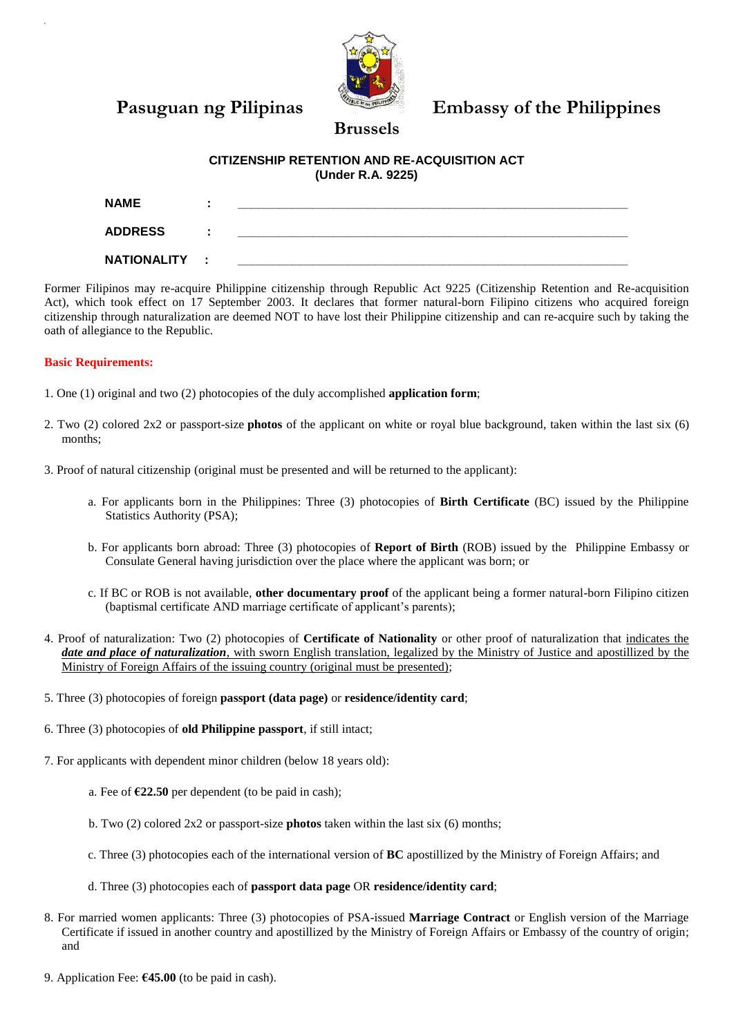

Pasuguan ng Pilipinas Embassy of the Philippines

## **CITIZENSHIP RETENTION AND RE-ACQUISITION ACT (Under R.A. 9225)**

**Brussels**

| <b>NAME</b>        |                |  |
|--------------------|----------------|--|
| <b>ADDRESS</b>     | $\blacksquare$ |  |
| <b>NATIONALITY</b> | ÷              |  |

Former Filipinos may re-acquire Philippine citizenship through Republic Act 9225 (Citizenship Retention and Re-acquisition Act), which took effect on 17 September 2003. It declares that former natural-born Filipino citizens who acquired foreign citizenship through naturalization are deemed NOT to have lost their Philippine citizenship and can re-acquire such by taking the oath of allegiance to the Republic.

### **Basic Requirements:**

- 1. One (1) original and two (2) photocopies of the duly accomplished **application form**;
- 2. Two (2) colored 2x2 or passport-size **photos** of the applicant on white or royal blue background, taken within the last six (6) months;
- 3. Proof of natural citizenship (original must be presented and will be returned to the applicant):
	- a. For applicants born in the Philippines: Three (3) photocopies of **Birth Certificate** (BC) issued by the Philippine Statistics Authority (PSA);
	- b. For applicants born abroad: Three (3) photocopies of **Report of Birth** (ROB) issued by the Philippine Embassy or Consulate General having jurisdiction over the place where the applicant was born; or
	- c. If BC or ROB is not available, **other documentary proof** of the applicant being a former natural-born Filipino citizen (baptismal certificate AND marriage certificate of applicant's parents);
- 4. Proof of naturalization: Two (2) photocopies of **Certificate of Nationality** or other proof of naturalization that indicates the *date and place of naturalization*, with sworn English translation, legalized by the Ministry of Justice and apostillized by the Ministry of Foreign Affairs of the issuing country (original must be presented);
- 5. Three (3) photocopies of foreign **passport (data page)** or **residence/identity card**;
- 6. Three (3) photocopies of **old Philippine passport**, if still intact;
- 7. For applicants with dependent minor children (below 18 years old):
	- a. Fee of **€22.50** per dependent (to be paid in cash);
	- b. Two (2) colored 2x2 or passport-size **photos** taken within the last six (6) months;
	- c. Three (3) photocopies each of the international version of **BC** apostillized by the Ministry of Foreign Affairs; and
	- d. Three (3) photocopies each of **passport data page** OR **residence/identity card**;
- 8. For married women applicants: Three (3) photocopies of PSA-issued **Marriage Contract** or English version of the Marriage Certificate if issued in another country and apostillized by the Ministry of Foreign Affairs or Embassy of the country of origin; and
- 9. Application Fee: **€45.00** (to be paid in cash).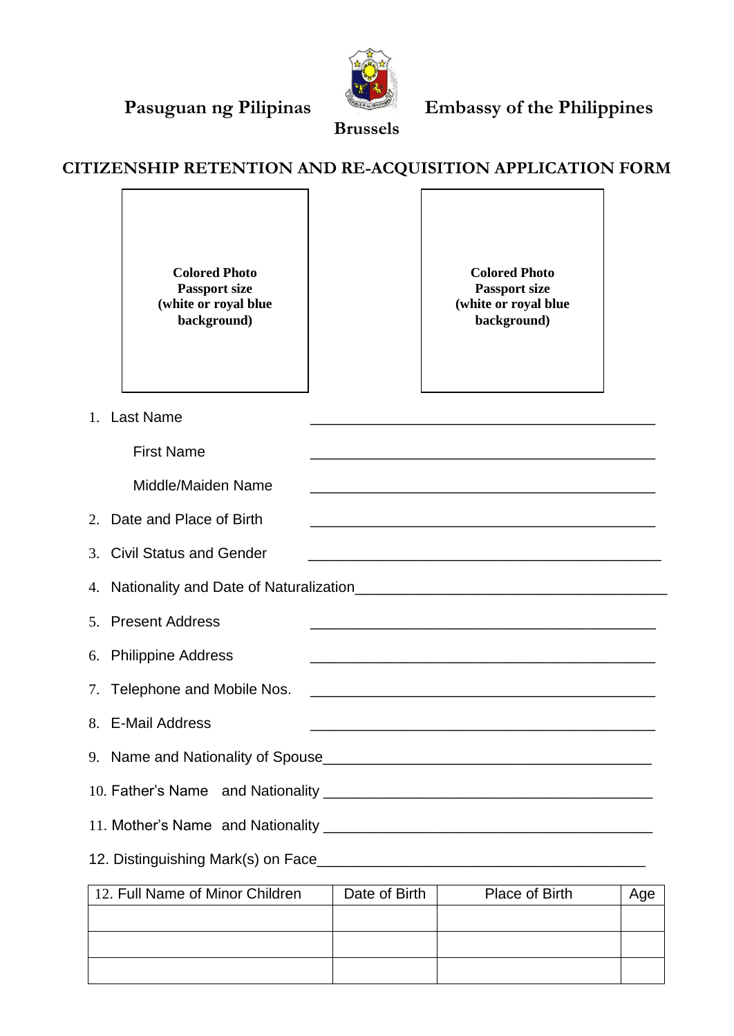

 $\overline{\phantom{a}}$ 



**Brussels**

# **CITIZENSHIP RETENTION AND RE-ACQUISITION APPLICATION FORM**

|    | <b>Colored Photo</b><br><b>Passport size</b><br>(white or royal blue<br>background)                                                                |  | <b>Colored Photo</b><br><b>Passport size</b><br>(white or royal blue<br>background)                                  |  |  |  |  |  |
|----|----------------------------------------------------------------------------------------------------------------------------------------------------|--|----------------------------------------------------------------------------------------------------------------------|--|--|--|--|--|
| 1. | <b>Last Name</b><br><u> 1980 - Johann John Stone, mars eta biztanleria (h. 1980).</u>                                                              |  |                                                                                                                      |  |  |  |  |  |
|    | <b>First Name</b>                                                                                                                                  |  |                                                                                                                      |  |  |  |  |  |
|    | Middle/Maiden Name                                                                                                                                 |  | <u> 1990 - Jan James James James James James James James James James James James James James James James James J</u> |  |  |  |  |  |
| 2. | Date and Place of Birth<br><u> 1989 - Johann Stoff, amerikansk politiker (d. 1989)</u>                                                             |  |                                                                                                                      |  |  |  |  |  |
|    | 3. Civil Status and Gender                                                                                                                         |  |                                                                                                                      |  |  |  |  |  |
| 4. |                                                                                                                                                    |  |                                                                                                                      |  |  |  |  |  |
|    | 5. Present Address<br><u> 1989 - Johann John Stone, markin film yn y brening yn y brening yn y brening yn y brening yn y brening y breni</u>       |  |                                                                                                                      |  |  |  |  |  |
| 6. | <b>Philippine Address</b><br><u> 1989 - Johann John Stone, mars et al. 1989 - Anna anno 1989 - Anna ann an t-Anna ann an t-Anna ann an t-Anna </u> |  |                                                                                                                      |  |  |  |  |  |
| 7. | Telephone and Mobile Nos.                                                                                                                          |  |                                                                                                                      |  |  |  |  |  |
|    | 8. E-Mail Address                                                                                                                                  |  | <u> 1989 - Johann Stein, mars and de Britannich (b. 1989)</u>                                                        |  |  |  |  |  |
|    |                                                                                                                                                    |  |                                                                                                                      |  |  |  |  |  |
|    |                                                                                                                                                    |  |                                                                                                                      |  |  |  |  |  |
|    |                                                                                                                                                    |  |                                                                                                                      |  |  |  |  |  |
|    |                                                                                                                                                    |  |                                                                                                                      |  |  |  |  |  |

| 12. Full Name of Minor Children | Date of Birth | Place of Birth | vge |
|---------------------------------|---------------|----------------|-----|
|                                 |               |                |     |
|                                 |               |                |     |
|                                 |               |                |     |